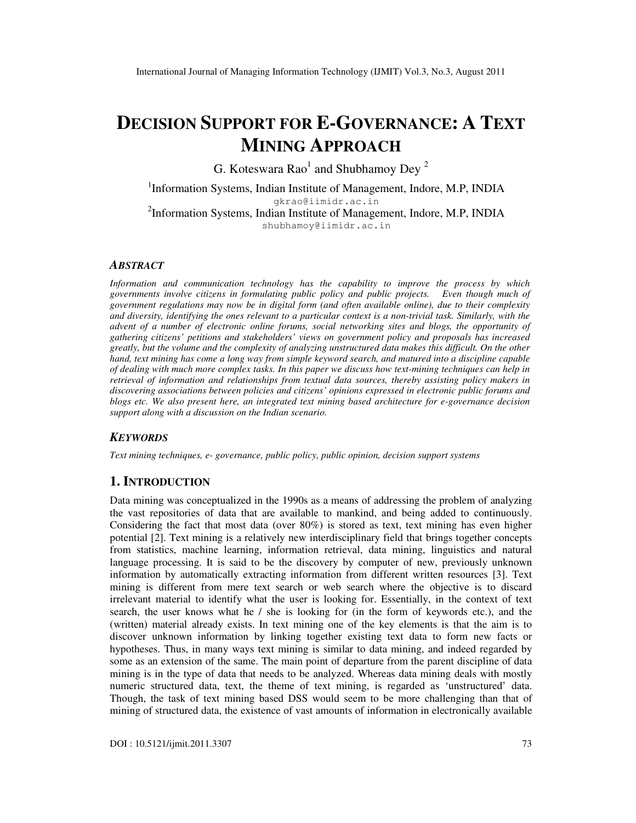# **DECISION SUPPORT FOR E-GOVERNANCE: A TEXT MINING APPROACH**

G. Koteswara Rao $^1$  and Shubhamoy Dey  $^2$ 

<sup>1</sup>Information Systems, Indian Institute of Management, Indore, M.P, INDIA gkrao@iimidr.ac.in <sup>2</sup>Information Systems, Indian Institute of Management, Indore, M.P, INDIA

shubhamoy@iimidr.ac.in

#### *ABSTRACT*

*Information and communication technology has the capability to improve the process by which governments involve citizens in formulating public policy and public projects. Even though much of government regulations may now be in digital form (and often available online), due to their complexity and diversity, identifying the ones relevant to a particular context is a non-trivial task. Similarly, with the advent of a number of electronic online forums, social networking sites and blogs, the opportunity of gathering citizens' petitions and stakeholders' views on government policy and proposals has increased greatly, but the volume and the complexity of analyzing unstructured data makes this difficult. On the other hand, text mining has come a long way from simple keyword search, and matured into a discipline capable of dealing with much more complex tasks. In this paper we discuss how text-mining techniques can help in retrieval of information and relationships from textual data sources, thereby assisting policy makers in discovering associations between policies and citizens' opinions expressed in electronic public forums and blogs etc. We also present here, an integrated text mining based architecture for e-governance decision support along with a discussion on the Indian scenario.* 

#### *KEYWORDS*

*Text mining techniques, e- governance, public policy, public opinion, decision support systems* 

#### **1. INTRODUCTION**

Data mining was conceptualized in the 1990s as a means of addressing the problem of analyzing the vast repositories of data that are available to mankind, and being added to continuously. Considering the fact that most data (over  $80\%$ ) is stored as text, text mining has even higher potential [2]. Text mining is a relatively new interdisciplinary field that brings together concepts from statistics, machine learning, information retrieval, data mining, linguistics and natural language processing. It is said to be the discovery by computer of new, previously unknown information by automatically extracting information from different written resources [3]. Text mining is different from mere text search or web search where the objective is to discard irrelevant material to identify what the user is looking for. Essentially, in the context of text search, the user knows what he / she is looking for (in the form of keywords etc.), and the (written) material already exists. In text mining one of the key elements is that the aim is to discover unknown information by linking together existing text data to form new facts or hypotheses. Thus, in many ways text mining is similar to data mining, and indeed regarded by some as an extension of the same. The main point of departure from the parent discipline of data mining is in the type of data that needs to be analyzed. Whereas data mining deals with mostly numeric structured data, text, the theme of text mining, is regarded as 'unstructured' data. Though, the task of text mining based DSS would seem to be more challenging than that of mining of structured data, the existence of vast amounts of information in electronically available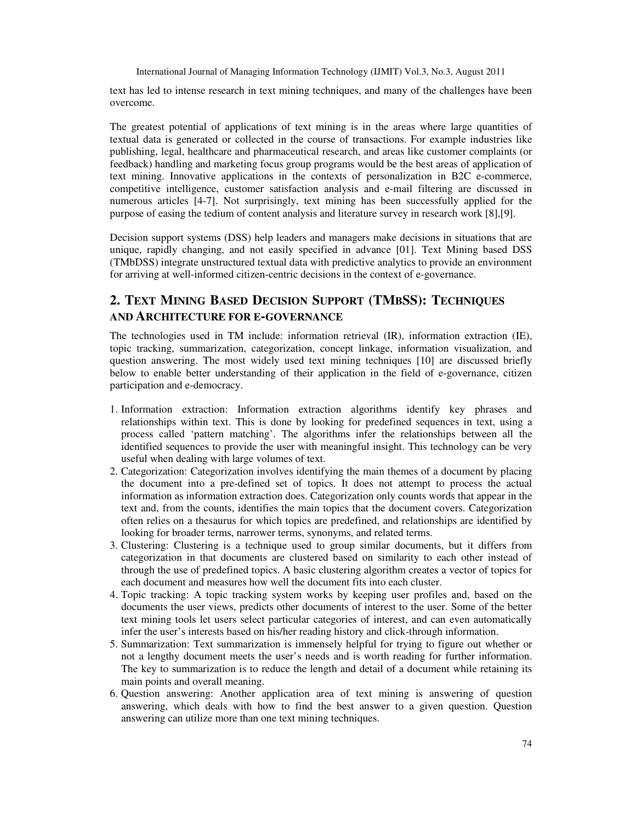text has led to intense research in text mining techniques, and many of the challenges have been overcome.

The greatest potential of applications of text mining is in the areas where large quantities of textual data is generated or collected in the course of transactions. For example industries like publishing, legal, healthcare and pharmaceutical research, and areas like customer complaints (or feedback) handling and marketing focus group programs would be the best areas of application of text mining. Innovative applications in the contexts of personalization in B2C e-commerce, competitive intelligence, customer satisfaction analysis and e-mail filtering are discussed in numerous articles [4-7]. Not surprisingly, text mining has been successfully applied for the purpose of easing the tedium of content analysis and literature survey in research work [8],[9].

Decision support systems (DSS) help leaders and managers make decisions in situations that are unique, rapidly changing, and not easily specified in advance [01]. Text Mining based DSS (TMbDSS) integrate unstructured textual data with predictive analytics to provide an environment for arriving at well-informed citizen-centric decisions in the context of e-governance.

# **2. TEXT MINING BASED DECISION SUPPORT (TMBSS): TECHNIQUES AND ARCHITECTURE FOR E-GOVERNANCE**

The technologies used in TM include: information retrieval (IR), information extraction (IE), topic tracking, summarization, categorization, concept linkage, information visualization, and question answering. The most widely used text mining techniques [10] are discussed briefly below to enable better understanding of their application in the field of e-governance, citizen participation and e-democracy.

- 1. Information extraction: Information extraction algorithms identify key phrases and relationships within text. This is done by looking for predefined sequences in text, using a process called 'pattern matching'. The algorithms infer the relationships between all the identified sequences to provide the user with meaningful insight. This technology can be very useful when dealing with large volumes of text.
- 2. Categorization: Categorization involves identifying the main themes of a document by placing the document into a pre-defined set of topics. It does not attempt to process the actual information as information extraction does. Categorization only counts words that appear in the text and, from the counts, identifies the main topics that the document covers. Categorization often relies on a thesaurus for which topics are predefined, and relationships are identified by looking for broader terms, narrower terms, synonyms, and related terms.
- 3. Clustering: Clustering is a technique used to group similar documents, but it differs from categorization in that documents are clustered based on similarity to each other instead of through the use of predefined topics. A basic clustering algorithm creates a vector of topics for each document and measures how well the document fits into each cluster.
- 4. Topic tracking: A topic tracking system works by keeping user profiles and, based on the documents the user views, predicts other documents of interest to the user. Some of the better text mining tools let users select particular categories of interest, and can even automatically infer the user's interests based on his/her reading history and click-through information.
- 5. Summarization: Text summarization is immensely helpful for trying to figure out whether or not a lengthy document meets the user's needs and is worth reading for further information. The key to summarization is to reduce the length and detail of a document while retaining its main points and overall meaning.
- 6. Question answering: Another application area of text mining is answering of question answering, which deals with how to find the best answer to a given question. Question answering can utilize more than one text mining techniques.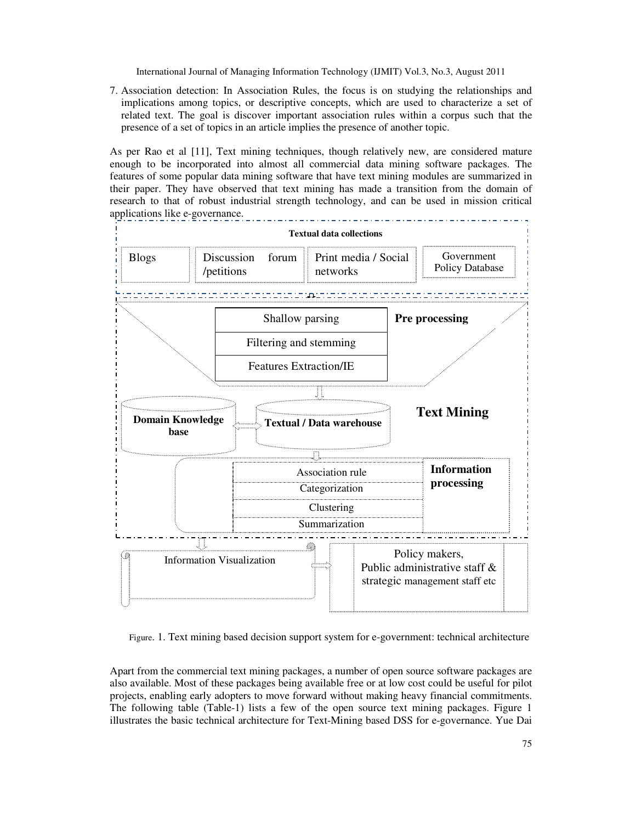7. Association detection: In Association Rules, the focus is on studying the relationships and implications among topics, or descriptive concepts, which are used to characterize a set of related text. The goal is discover important association rules within a corpus such that the presence of a set of topics in an article implies the presence of another topic.

As per Rao et al [11], Text mining techniques, though relatively new, are considered mature enough to be incorporated into almost all commercial data mining software packages. The features of some popular data mining software that have text mining modules are summarized in their paper. They have observed that text mining has made a transition from the domain of research to that of robust industrial strength technology, and can be used in mission critical applications like e-governance.



Figure. 1. Text mining based decision support system for e-government: technical architecture

Apart from the commercial text mining packages, a number of open source software packages are also available. Most of these packages being available free or at low cost could be useful for pilot projects, enabling early adopters to move forward without making heavy financial commitments. The following table (Table-1) lists a few of the open source text mining packages. Figure 1 illustrates the basic technical architecture for Text-Mining based DSS for e-governance. Yue Dai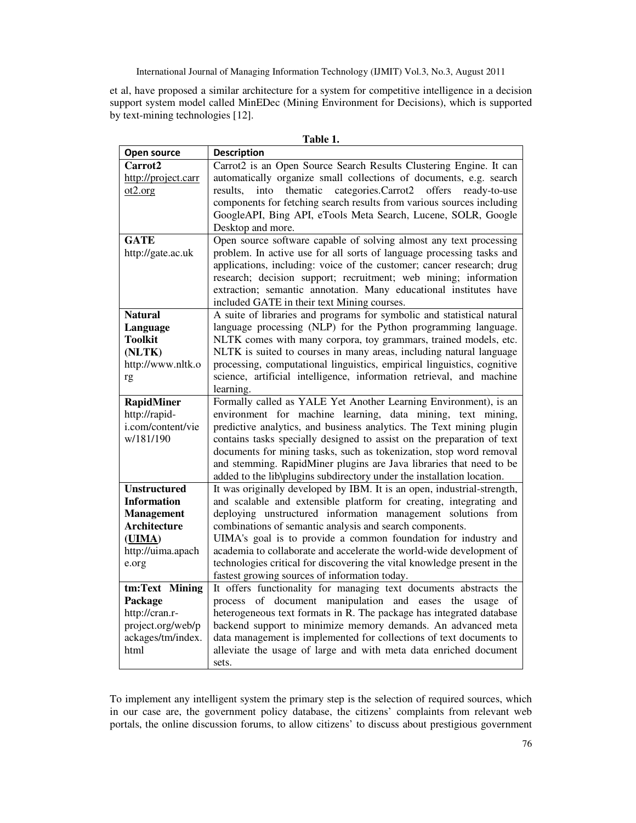et al, have proposed a similar architecture for a system for competitive intelligence in a decision support system model called MinEDec (Mining Environment for Decisions), which is supported by text-mining technologies [12].

| Table 1.            |                                                                           |  |  |
|---------------------|---------------------------------------------------------------------------|--|--|
| Open source         | <b>Description</b>                                                        |  |  |
| Carrot2             | Carrot2 is an Open Source Search Results Clustering Engine. It can        |  |  |
| http://project.carr | automatically organize small collections of documents, e.g. search        |  |  |
| ot2.org             | thematic<br>categories.Carrot2 offers<br>results,<br>into<br>ready-to-use |  |  |
|                     | components for fetching search results from various sources including     |  |  |
|                     | GoogleAPI, Bing API, eTools Meta Search, Lucene, SOLR, Google             |  |  |
|                     | Desktop and more.                                                         |  |  |
| <b>GATE</b>         | Open source software capable of solving almost any text processing        |  |  |
| http://gate.ac.uk   | problem. In active use for all sorts of language processing tasks and     |  |  |
|                     | applications, including: voice of the customer; cancer research; drug     |  |  |
|                     | research; decision support; recruitment; web mining; information          |  |  |
|                     | extraction; semantic annotation. Many educational institutes have         |  |  |
|                     | included GATE in their text Mining courses.                               |  |  |
| <b>Natural</b>      | A suite of libraries and programs for symbolic and statistical natural    |  |  |
| Language            | language processing (NLP) for the Python programming language.            |  |  |
| <b>Toolkit</b>      | NLTK comes with many corpora, toy grammars, trained models, etc.          |  |  |
| (NLTK)              | NLTK is suited to courses in many areas, including natural language       |  |  |
| http://www.nltk.o   | processing, computational linguistics, empirical linguistics, cognitive   |  |  |
| rg                  | science, artificial intelligence, information retrieval, and machine      |  |  |
|                     | learning.                                                                 |  |  |
| <b>RapidMiner</b>   | Formally called as YALE Yet Another Learning Environment), is an          |  |  |
| http://rapid-       | environment for machine learning, data mining, text mining,               |  |  |
| i.com/content/vie   | predictive analytics, and business analytics. The Text mining plugin      |  |  |
| w/181/190           | contains tasks specially designed to assist on the preparation of text    |  |  |
|                     | documents for mining tasks, such as tokenization, stop word removal       |  |  |
|                     | and stemming. RapidMiner plugins are Java libraries that need to be       |  |  |
|                     | added to the lib\plugins subdirectory under the installation location.    |  |  |
| <b>Unstructured</b> | It was originally developed by IBM. It is an open, industrial-strength,   |  |  |
| <b>Information</b>  | and scalable and extensible platform for creating, integrating and        |  |  |
| <b>Management</b>   | deploying unstructured information management solutions from              |  |  |
| Architecture        | combinations of semantic analysis and search components.                  |  |  |
| (UIMA)              | UIMA's goal is to provide a common foundation for industry and            |  |  |
| http://uima.apach   | academia to collaborate and accelerate the world-wide development of      |  |  |
| e.org               | technologies critical for discovering the vital knowledge present in the  |  |  |
|                     | fastest growing sources of information today.                             |  |  |
| tm:Text Mining      | It offers functionality for managing text documents abstracts the         |  |  |
| Package             | process of document manipulation and eases the usage<br>of                |  |  |
| http://cran.r-      | heterogeneous text formats in R. The package has integrated database      |  |  |
| project.org/web/p   | backend support to minimize memory demands. An advanced meta              |  |  |
| ackages/tm/index.   | data management is implemented for collections of text documents to       |  |  |
| html                | alleviate the usage of large and with meta data enriched document         |  |  |
|                     | sets.                                                                     |  |  |

To implement any intelligent system the primary step is the selection of required sources, which in our case are, the government policy database, the citizens' complaints from relevant web portals, the online discussion forums, to allow citizens' to discuss about prestigious government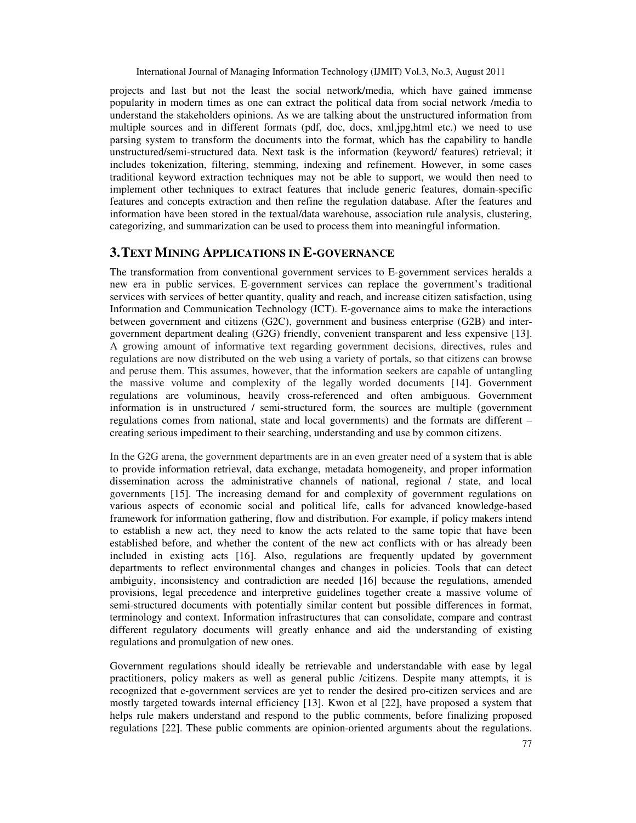projects and last but not the least the social network/media, which have gained immense popularity in modern times as one can extract the political data from social network /media to understand the stakeholders opinions. As we are talking about the unstructured information from multiple sources and in different formats (pdf, doc, docs, xml,jpg,html etc.) we need to use parsing system to transform the documents into the format, which has the capability to handle unstructured/semi-structured data. Next task is the information (keyword/ features) retrieval; it includes tokenization, filtering, stemming, indexing and refinement. However, in some cases traditional keyword extraction techniques may not be able to support, we would then need to implement other techniques to extract features that include generic features, domain-specific features and concepts extraction and then refine the regulation database. After the features and information have been stored in the textual/data warehouse, association rule analysis, clustering, categorizing, and summarization can be used to process them into meaningful information.

### **3.TEXT MINING APPLICATIONS IN E-GOVERNANCE**

The transformation from conventional government services to E-government services heralds a new era in public services. E-government services can replace the government's traditional services with services of better quantity, quality and reach, and increase citizen satisfaction, using Information and Communication Technology (ICT). E-governance aims to make the interactions between government and citizens (G2C), government and business enterprise (G2B) and intergovernment department dealing (G2G) friendly, convenient transparent and less expensive [13]. A growing amount of informative text regarding government decisions, directives, rules and regulations are now distributed on the web using a variety of portals, so that citizens can browse and peruse them. This assumes, however, that the information seekers are capable of untangling the massive volume and complexity of the legally worded documents [14]. Government regulations are voluminous, heavily cross-referenced and often ambiguous. Government information is in unstructured / semi-structured form, the sources are multiple (government regulations comes from national, state and local governments) and the formats are different – creating serious impediment to their searching, understanding and use by common citizens.

In the G2G arena, the government departments are in an even greater need of a system that is able to provide information retrieval, data exchange, metadata homogeneity, and proper information dissemination across the administrative channels of national, regional / state, and local governments [15]. The increasing demand for and complexity of government regulations on various aspects of economic social and political life, calls for advanced knowledge-based framework for information gathering, flow and distribution. For example, if policy makers intend to establish a new act, they need to know the acts related to the same topic that have been established before, and whether the content of the new act conflicts with or has already been included in existing acts [16]. Also, regulations are frequently updated by government departments to reflect environmental changes and changes in policies. Tools that can detect ambiguity, inconsistency and contradiction are needed [16] because the regulations, amended provisions, legal precedence and interpretive guidelines together create a massive volume of semi-structured documents with potentially similar content but possible differences in format, terminology and context. Information infrastructures that can consolidate, compare and contrast different regulatory documents will greatly enhance and aid the understanding of existing regulations and promulgation of new ones.

Government regulations should ideally be retrievable and understandable with ease by legal practitioners, policy makers as well as general public /citizens. Despite many attempts, it is recognized that e-government services are yet to render the desired pro-citizen services and are mostly targeted towards internal efficiency [13]. Kwon et al [22], have proposed a system that helps rule makers understand and respond to the public comments, before finalizing proposed regulations [22]. These public comments are opinion-oriented arguments about the regulations.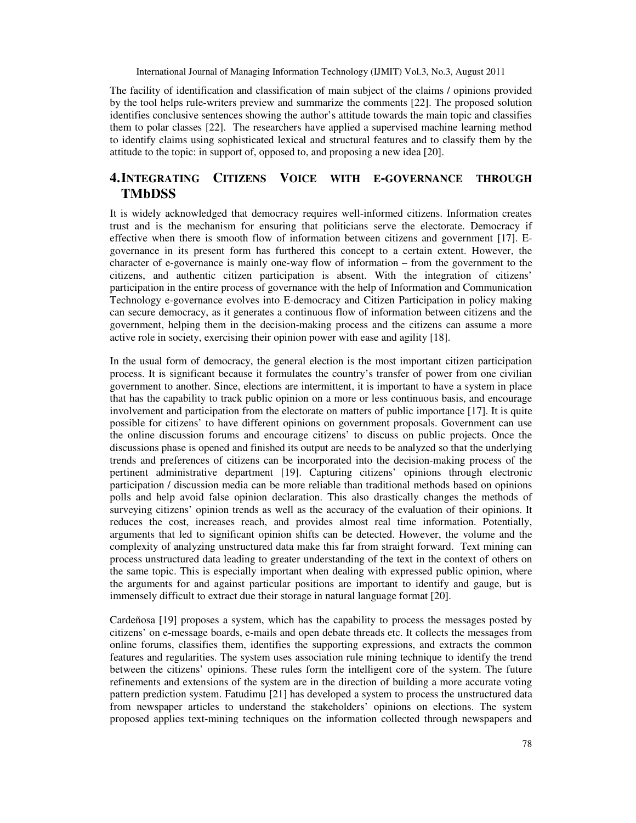The facility of identification and classification of main subject of the claims / opinions provided by the tool helps rule-writers preview and summarize the comments [22]. The proposed solution identifies conclusive sentences showing the author's attitude towards the main topic and classifies them to polar classes [22]. The researchers have applied a supervised machine learning method to identify claims using sophisticated lexical and structural features and to classify them by the attitude to the topic: in support of, opposed to, and proposing a new idea [20].

# **4.INTEGRATING CITIZENS VOICE WITH E-GOVERNANCE THROUGH TMbDSS**

It is widely acknowledged that democracy requires well-informed citizens. Information creates trust and is the mechanism for ensuring that politicians serve the electorate. Democracy if effective when there is smooth flow of information between citizens and government [17]. Egovernance in its present form has furthered this concept to a certain extent. However, the character of e-governance is mainly one-way flow of information – from the government to the citizens, and authentic citizen participation is absent. With the integration of citizens' participation in the entire process of governance with the help of Information and Communication Technology e-governance evolves into E-democracy and Citizen Participation in policy making can secure democracy, as it generates a continuous flow of information between citizens and the government, helping them in the decision-making process and the citizens can assume a more active role in society, exercising their opinion power with ease and agility [18].

In the usual form of democracy, the general election is the most important citizen participation process. It is significant because it formulates the country's transfer of power from one civilian government to another. Since, elections are intermittent, it is important to have a system in place that has the capability to track public opinion on a more or less continuous basis, and encourage involvement and participation from the electorate on matters of public importance [17]. It is quite possible for citizens' to have different opinions on government proposals. Government can use the online discussion forums and encourage citizens' to discuss on public projects. Once the discussions phase is opened and finished its output are needs to be analyzed so that the underlying trends and preferences of citizens can be incorporated into the decision-making process of the pertinent administrative department [19]. Capturing citizens' opinions through electronic participation / discussion media can be more reliable than traditional methods based on opinions polls and help avoid false opinion declaration. This also drastically changes the methods of surveying citizens' opinion trends as well as the accuracy of the evaluation of their opinions. It reduces the cost, increases reach, and provides almost real time information. Potentially, arguments that led to significant opinion shifts can be detected. However, the volume and the complexity of analyzing unstructured data make this far from straight forward. Text mining can process unstructured data leading to greater understanding of the text in the context of others on the same topic. This is especially important when dealing with expressed public opinion, where the arguments for and against particular positions are important to identify and gauge, but is immensely difficult to extract due their storage in natural language format [20].

Cardeñosa [19] proposes a system, which has the capability to process the messages posted by citizens' on e-message boards, e-mails and open debate threads etc. It collects the messages from online forums, classifies them, identifies the supporting expressions, and extracts the common features and regularities. The system uses association rule mining technique to identify the trend between the citizens' opinions. These rules form the intelligent core of the system. The future refinements and extensions of the system are in the direction of building a more accurate voting pattern prediction system. Fatudimu [21] has developed a system to process the unstructured data from newspaper articles to understand the stakeholders' opinions on elections. The system proposed applies text-mining techniques on the information collected through newspapers and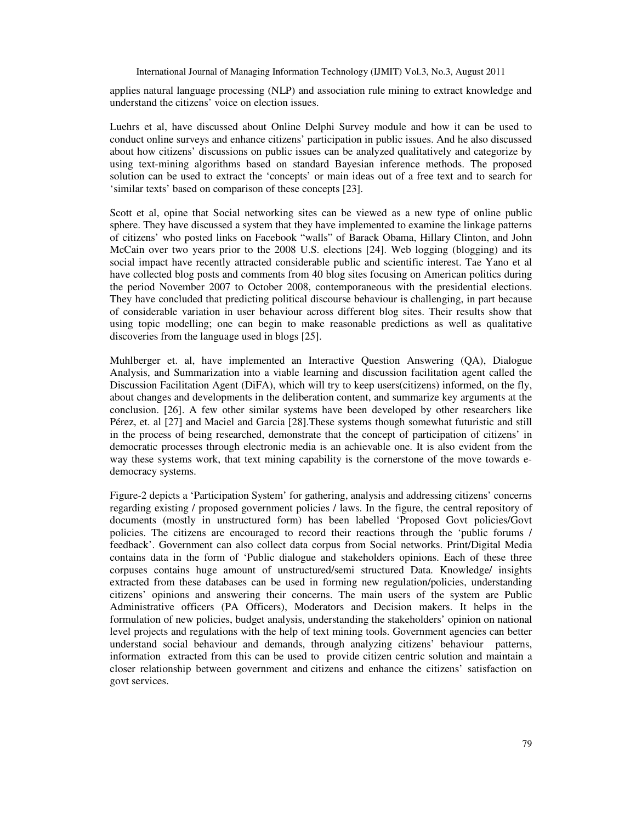applies natural language processing (NLP) and association rule mining to extract knowledge and understand the citizens' voice on election issues.

Luehrs et al, have discussed about Online Delphi Survey module and how it can be used to conduct online surveys and enhance citizens' participation in public issues. And he also discussed about how citizens' discussions on public issues can be analyzed qualitatively and categorize by using text-mining algorithms based on standard Bayesian inference methods. The proposed solution can be used to extract the 'concepts' or main ideas out of a free text and to search for 'similar texts' based on comparison of these concepts [23].

Scott et al, opine that Social networking sites can be viewed as a new type of online public sphere. They have discussed a system that they have implemented to examine the linkage patterns of citizens' who posted links on Facebook "walls" of Barack Obama, Hillary Clinton, and John McCain over two years prior to the 2008 U.S. elections [24]. Web logging (blogging) and its social impact have recently attracted considerable public and scientific interest. Tae Yano et al have collected blog posts and comments from 40 blog sites focusing on American politics during the period November 2007 to October 2008, contemporaneous with the presidential elections. They have concluded that predicting political discourse behaviour is challenging, in part because of considerable variation in user behaviour across different blog sites. Their results show that using topic modelling; one can begin to make reasonable predictions as well as qualitative discoveries from the language used in blogs [25].

Muhlberger et. al, have implemented an Interactive Question Answering (QA), Dialogue Analysis, and Summarization into a viable learning and discussion facilitation agent called the Discussion Facilitation Agent (DiFA), which will try to keep users(citizens) informed, on the fly, about changes and developments in the deliberation content, and summarize key arguments at the conclusion. [26]. A few other similar systems have been developed by other researchers like Pérez, et. al [27] and Maciel and Garcia [28].These systems though somewhat futuristic and still in the process of being researched, demonstrate that the concept of participation of citizens' in democratic processes through electronic media is an achievable one. It is also evident from the way these systems work, that text mining capability is the cornerstone of the move towards edemocracy systems.

Figure-2 depicts a 'Participation System' for gathering, analysis and addressing citizens' concerns regarding existing / proposed government policies / laws. In the figure, the central repository of documents (mostly in unstructured form) has been labelled 'Proposed Govt policies/Govt policies. The citizens are encouraged to record their reactions through the 'public forums / feedback'. Government can also collect data corpus from Social networks. Print/Digital Media contains data in the form of 'Public dialogue and stakeholders opinions. Each of these three corpuses contains huge amount of unstructured/semi structured Data. Knowledge/ insights extracted from these databases can be used in forming new regulation/policies, understanding citizens' opinions and answering their concerns. The main users of the system are Public Administrative officers (PA Officers), Moderators and Decision makers. It helps in the formulation of new policies, budget analysis, understanding the stakeholders' opinion on national level projects and regulations with the help of text mining tools. Government agencies can better understand social behaviour and demands, through analyzing citizens' behaviour patterns, information extracted from this can be used to provide citizen centric solution and maintain a closer relationship between government and citizens and enhance the citizens' satisfaction on govt services.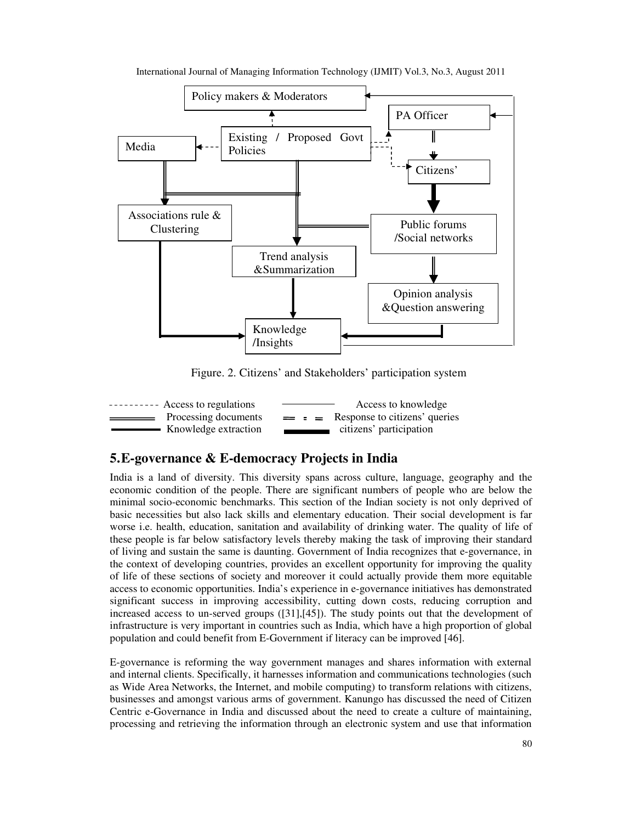

International Journal of Managing Information Technology (IJMIT) Vol.3, No.3, August 2011

Figure. 2. Citizens' and Stakeholders' participation system



# **5.E-governance & E-democracy Projects in India**

India is a land of diversity. This diversity spans across culture, language, geography and the economic condition of the people. There are significant numbers of people who are below the minimal socio-economic benchmarks. This section of the Indian society is not only deprived of basic necessities but also lack skills and elementary education. Their social development is far worse i.e. health, education, sanitation and availability of drinking water. The quality of life of these people is far below satisfactory levels thereby making the task of improving their standard of living and sustain the same is daunting. Government of India recognizes that e-governance, in the context of developing countries, provides an excellent opportunity for improving the quality of life of these sections of society and moreover it could actually provide them more equitable access to economic opportunities. India's experience in e-governance initiatives has demonstrated significant success in improving accessibility, cutting down costs, reducing corruption and increased access to un-served groups ([31],[45]). The study points out that the development of infrastructure is very important in countries such as India, which have a high proportion of global population and could benefit from E-Government if literacy can be improved [46].

E-governance is reforming the way government manages and shares information with external and internal clients. Specifically, it harnesses information and communications technologies (such as Wide Area Networks, the Internet, and mobile computing) to transform relations with citizens, businesses and amongst various arms of government. Kanungo has discussed the need of Citizen Centric e-Governance in India and discussed about the need to create a culture of maintaining, processing and retrieving the information through an electronic system and use that information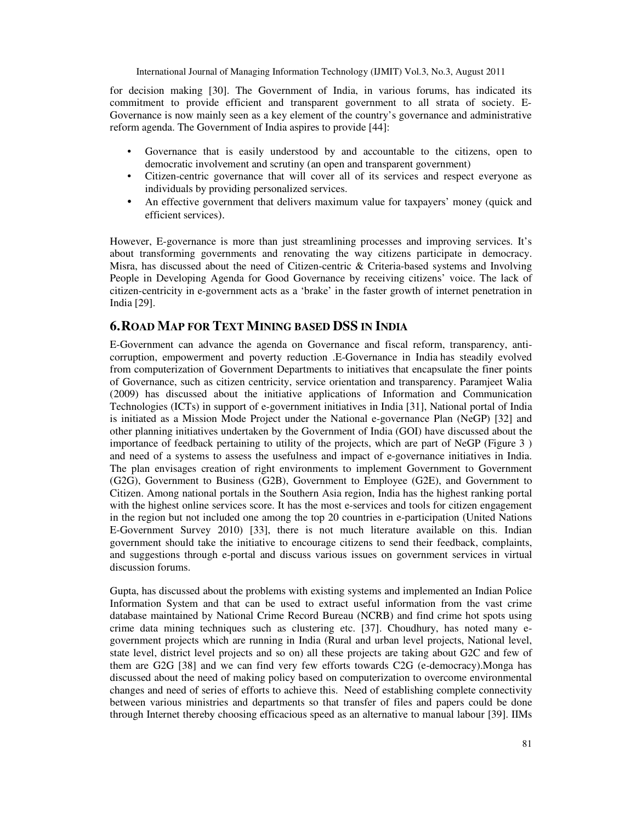for decision making [30]. The Government of India, in various forums, has indicated its commitment to provide efficient and transparent government to all strata of society. E-Governance is now mainly seen as a key element of the country's governance and administrative reform agenda. The Government of India aspires to provide [44]:

- Governance that is easily understood by and accountable to the citizens, open to democratic involvement and scrutiny (an open and transparent government)
- Citizen-centric governance that will cover all of its services and respect everyone as individuals by providing personalized services.
- An effective government that delivers maximum value for taxpayers' money (quick and efficient services).

However, E-governance is more than just streamlining processes and improving services. It's about transforming governments and renovating the way citizens participate in democracy. Misra, has discussed about the need of Citizen-centric & Criteria-based systems and Involving People in Developing Agenda for Good Governance by receiving citizens' voice. The lack of citizen-centricity in e-government acts as a 'brake' in the faster growth of internet penetration in India [29].

## **6.ROAD MAP FOR TEXT MINING BASED DSS IN INDIA**

E-Government can advance the agenda on Governance and fiscal reform, transparency, anticorruption, empowerment and poverty reduction .E-Governance in India has steadily evolved from computerization of Government Departments to initiatives that encapsulate the finer points of Governance, such as citizen centricity, service orientation and transparency. Paramjeet Walia (2009) has discussed about the initiative applications of Information and Communication Technologies (ICTs) in support of e-government initiatives in India [31], National portal of India is initiated as a Mission Mode Project under the National e-governance Plan (NeGP) [32] and other planning initiatives undertaken by the Government of India (GOI) have discussed about the importance of feedback pertaining to utility of the projects, which are part of NeGP (Figure 3 ) and need of a systems to assess the usefulness and impact of e-governance initiatives in India. The plan envisages creation of right environments to implement Government to Government (G2G), Government to Business (G2B), Government to Employee (G2E), and Government to Citizen. Among national portals in the Southern Asia region, India has the highest ranking portal with the highest online services score. It has the most e-services and tools for citizen engagement in the region but not included one among the top 20 countries in e-participation (United Nations E-Government Survey 2010) [33], there is not much literature available on this. Indian government should take the initiative to encourage citizens to send their feedback, complaints, and suggestions through e-portal and discuss various issues on government services in virtual discussion forums.

Gupta, has discussed about the problems with existing systems and implemented an Indian Police Information System and that can be used to extract useful information from the vast crime database maintained by National Crime Record Bureau (NCRB) and find crime hot spots using crime data mining techniques such as clustering etc. [37]. Choudhury, has noted many egovernment projects which are running in India (Rural and urban level projects, National level, state level, district level projects and so on) all these projects are taking about G2C and few of them are G2G [38] and we can find very few efforts towards C2G (e-democracy).Monga has discussed about the need of making policy based on computerization to overcome environmental changes and need of series of efforts to achieve this. Need of establishing complete connectivity between various ministries and departments so that transfer of files and papers could be done through Internet thereby choosing efficacious speed as an alternative to manual labour [39]. IIMs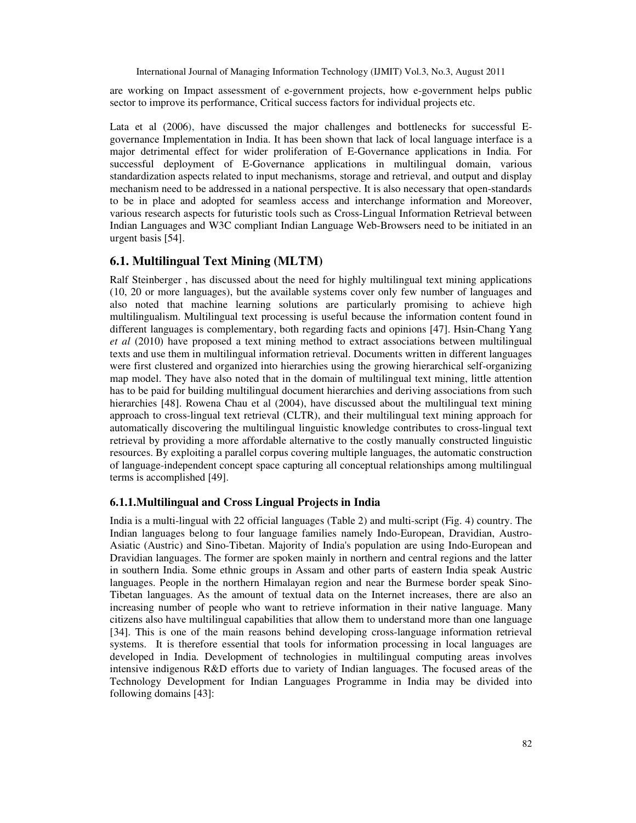are working on Impact assessment of e-government projects, how e-government helps public sector to improve its performance, Critical success factors for individual projects etc.

Lata et al (2006), have discussed the major challenges and bottlenecks for successful Egovernance Implementation in India. It has been shown that lack of local language interface is a major detrimental effect for wider proliferation of E-Governance applications in India. For successful deployment of E-Governance applications in multilingual domain, various standardization aspects related to input mechanisms, storage and retrieval, and output and display mechanism need to be addressed in a national perspective. It is also necessary that open-standards to be in place and adopted for seamless access and interchange information and Moreover, various research aspects for futuristic tools such as Cross-Lingual Information Retrieval between Indian Languages and W3C compliant Indian Language Web-Browsers need to be initiated in an urgent basis [54].

#### **6.1. Multilingual Text Mining (MLTM)**

Ralf Steinberger , has discussed about the need for highly multilingual text mining applications (10, 20 or more languages), but the available systems cover only few number of languages and also noted that machine learning solutions are particularly promising to achieve high multilingualism. Multilingual text processing is useful because the information content found in different languages is complementary, both regarding facts and opinions [47]. Hsin-Chang Yang *et al* (2010) have proposed a text mining method to extract associations between multilingual texts and use them in multilingual information retrieval. Documents written in different languages were first clustered and organized into hierarchies using the growing hierarchical self-organizing map model. They have also noted that in the domain of multilingual text mining, little attention has to be paid for building multilingual document hierarchies and deriving associations from such hierarchies [48]. Rowena Chau et al (2004), have discussed about the multilingual text mining approach to cross-lingual text retrieval (CLTR), and their multilingual text mining approach for automatically discovering the multilingual linguistic knowledge contributes to cross-lingual text retrieval by providing a more affordable alternative to the costly manually constructed linguistic resources. By exploiting a parallel corpus covering multiple languages, the automatic construction of language-independent concept space capturing all conceptual relationships among multilingual terms is accomplished [49].

#### **6.1.1.Multilingual and Cross Lingual Projects in India**

India is a multi-lingual with 22 official languages (Table 2) and multi-script (Fig. 4) country. The Indian languages belong to four language families namely Indo-European, Dravidian, Austro-Asiatic (Austric) and Sino-Tibetan. Majority of India's population are using Indo-European and Dravidian languages. The former are spoken mainly in northern and central regions and the latter in southern India. Some ethnic groups in Assam and other parts of eastern India speak Austric languages. People in the northern Himalayan region and near the Burmese border speak Sino-Tibetan languages. As the amount of textual data on the Internet increases, there are also an increasing number of people who want to retrieve information in their native language. Many citizens also have multilingual capabilities that allow them to understand more than one language [34]. This is one of the main reasons behind developing cross-language information retrieval systems. It is therefore essential that tools for information processing in local languages are developed in India. Development of technologies in multilingual computing areas involves intensive indigenous R&D efforts due to variety of Indian languages. The focused areas of the Technology Development for Indian Languages Programme in India may be divided into following domains [43]: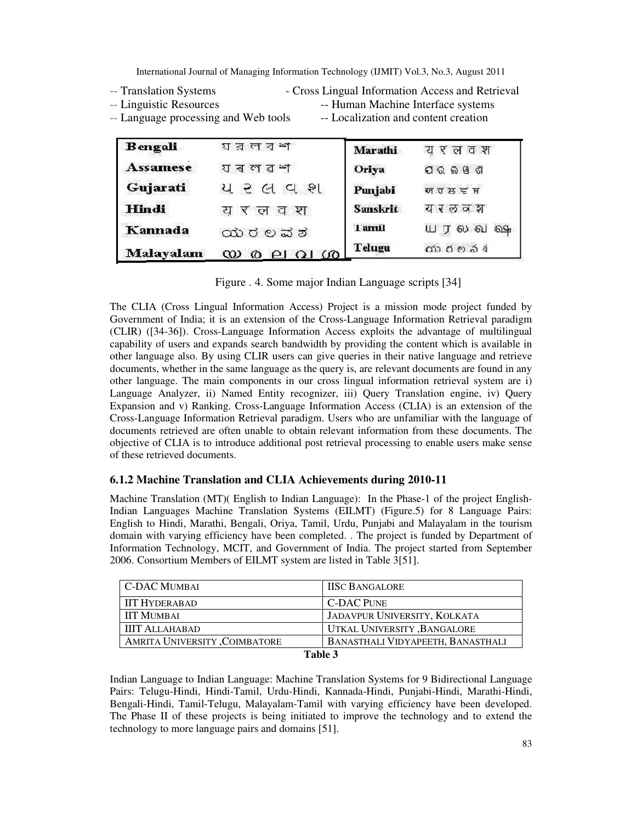- -- Translation Systems Cross Lingual Information Access and Retrieval
- 

-- Linguistic Resources -- Human Machine Interface systems

-- Language processing and Web tools

| -- Localization and content creation |  |  |
|--------------------------------------|--|--|

| Bengali         | যে ল বে শ                                                                             | Marathi         | य र ल व श      |
|-----------------|---------------------------------------------------------------------------------------|-----------------|----------------|
| <b>Assamese</b> | যৰলৱশ                                                                                 | Oriya           | ସ ର ଲ ୱ ଶ      |
| Gujarati        | $C \left[ \begin{array}{cc} \infty & \infty \end{array} \right]$<br>ય ર<br>$\epsilon$ | Punjabi         | <u>ਯਰਲਵਜ</u>   |
| Hindi           | य र ल व श                                                                             | <b>Sanskrit</b> | यरलविश         |
| Kannada         | ಯ ರ ಲ ವ ಶ                                                                             | <b>Tamil</b>    | 山丁<br>69<br>லல |
| Malayalam       | ю                                                                                     | Telugu          | <u>య రలవశ</u>  |

Figure . 4. Some major Indian Language scripts [34]

The CLIA (Cross Lingual Information Access) Project is a mission mode project funded by Government of India; it is an extension of the Cross-Language Information Retrieval paradigm (CLIR) ([34-36]). Cross-Language Information Access exploits the advantage of multilingual capability of users and expands search bandwidth by providing the content which is available in other language also. By using CLIR users can give queries in their native language and retrieve documents, whether in the same language as the query is, are relevant documents are found in any other language. The main components in our cross lingual information retrieval system are i) Language Analyzer, ii) Named Entity recognizer, iii) Query Translation engine, iv) Query Expansion and v) Ranking. Cross-Language Information Access (CLIA) is an extension of the Cross-Language Information Retrieval paradigm. Users who are unfamiliar with the language of documents retrieved are often unable to obtain relevant information from these documents. The objective of CLIA is to introduce additional post retrieval processing to enable users make sense of these retrieved documents.

# **6.1.2 Machine Translation and CLIA Achievements during 2010-11**

Machine Translation (MT)( English to Indian Language): In the Phase-1 of the project English-Indian Languages Machine Translation Systems (EILMT) (Figure.5) for 8 Language Pairs: English to Hindi, Marathi, Bengali, Oriya, Tamil, Urdu, Punjabi and Malayalam in the tourism domain with varying efficiency have been completed. . The project is funded by Department of Information Technology, MCIT, and Government of India. The project started from September 2006. Consortium Members of EILMT system are listed in Table 3[51].

| <b>C-DAC MUMBAI</b>           | <b>IISC BANGALORE</b>             |  |  |
|-------------------------------|-----------------------------------|--|--|
| <b>IIT HYDERABAD</b>          | <b>C-DAC PUNE</b>                 |  |  |
| <b>IIT MUMBAI</b>             | JADAVPUR UNIVERSITY, KOLKATA      |  |  |
| <b>IIIT ALLAHABAD</b>         | UTKAL UNIVERSITY , BANGALORE      |  |  |
| AMRITA UNIVERSITY, COIMBATORE | BANASTHALI VIDYAPEETH, BANASTHALI |  |  |
| Table 3                       |                                   |  |  |

Indian Language to Indian Language: Machine Translation Systems for 9 Bidirectional Language Pairs: Telugu-Hindi, Hindi-Tamil, Urdu-Hindi, Kannada-Hindi, Punjabi-Hindi, Marathi-Hindi, Bengali-Hindi, Tamil-Telugu, Malayalam-Tamil with varying efficiency have been developed. The Phase II of these projects is being initiated to improve the technology and to extend the technology to more language pairs and domains [51].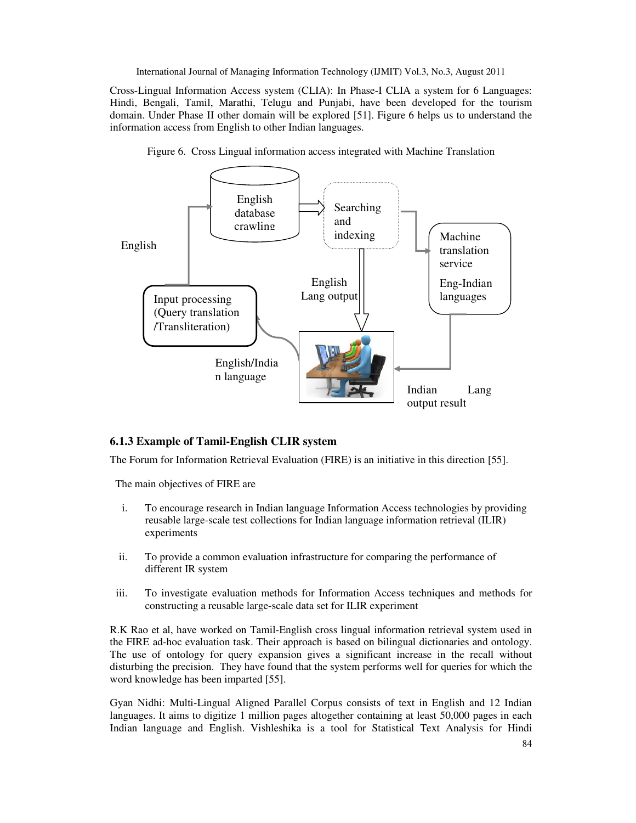Cross-Lingual Information Access system (CLIA): In Phase-I CLIA a system for 6 Languages: Hindi, Bengali, Tamil, Marathi, Telugu and Punjabi, have been developed for the tourism domain. Under Phase II other domain will be explored [51]. Figure 6 helps us to understand the information access from English to other Indian languages.



Figure 6. Cross Lingual information access integrated with Machine Translation

## **6.1.3 Example of Tamil-English CLIR system**

The Forum for Information Retrieval Evaluation (FIRE) is an initiative in this direction [55].

The main objectives of FIRE are

- i. To encourage research in Indian language Information Access technologies by providing reusable large-scale test collections for Indian language information retrieval (ILIR) experiments
- ii. To provide a common evaluation infrastructure for comparing the performance of different IR system
- iii. To investigate evaluation methods for Information Access techniques and methods for constructing a reusable large-scale data set for ILIR experiment

R.K Rao et al, have worked on Tamil-English cross lingual information retrieval system used in the FIRE ad-hoc evaluation task. Their approach is based on bilingual dictionaries and ontology. The use of ontology for query expansion gives a significant increase in the recall without disturbing the precision. They have found that the system performs well for queries for which the word knowledge has been imparted [55].

Gyan Nidhi: Multi-Lingual Aligned Parallel Corpus consists of text in English and 12 Indian languages. It aims to digitize 1 million pages altogether containing at least 50,000 pages in each Indian language and English. Vishleshika is a tool for Statistical Text Analysis for Hindi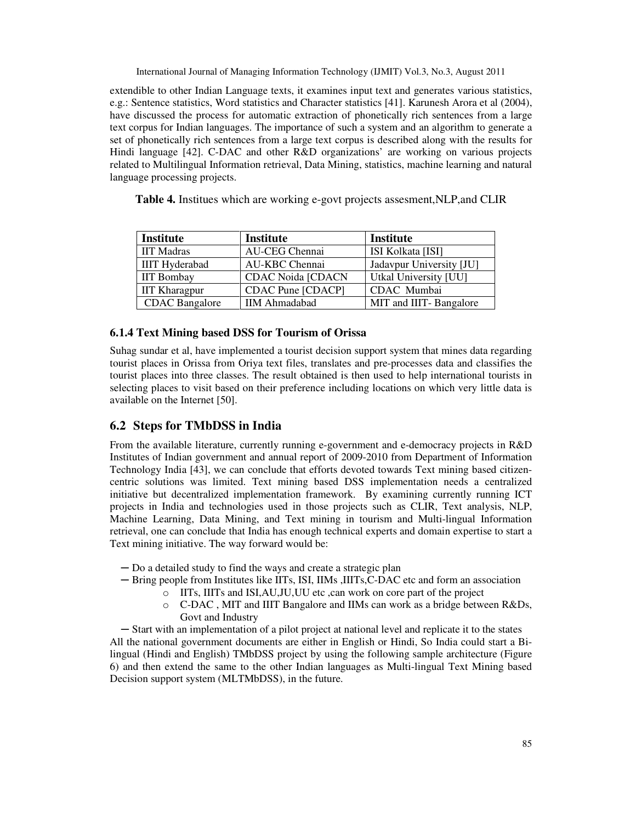extendible to other Indian Language texts, it examines input text and generates various statistics, e.g.: Sentence statistics, Word statistics and Character statistics [41]. Karunesh Arora et al (2004), have discussed the process for automatic extraction of phonetically rich sentences from a large text corpus for Indian languages. The importance of such a system and an algorithm to generate a set of phonetically rich sentences from a large text corpus is described along with the results for Hindi language [42]. C-DAC and other R&D organizations' are working on various projects related to Multilingual Information retrieval, Data Mining, statistics, machine learning and natural language processing projects.

**Table 4.** Institues which are working e-govt projects assesment,NLP,and CLIR

| <b>Institute</b>      | <b>Institute</b>         | <b>Institute</b>         |
|-----------------------|--------------------------|--------------------------|
| <b>IIT Madras</b>     | AU-CEG Chennai           | <b>ISI Kolkata [ISI]</b> |
| <b>IIIT Hyderabad</b> | AU-KBC Chennai           | Jadavpur University [JU] |
| <b>IIT Bombay</b>     | <b>CDAC Noida [CDACN</b> | Utkal University [UU]    |
| <b>IIT Kharagpur</b>  | CDAC Pune [CDACP]        | CDAC Mumbai              |
| <b>CDAC</b> Bangalore | <b>IIM Ahmadabad</b>     | MIT and IIIT-Bangalore   |

#### **6.1.4 Text Mining based DSS for Tourism of Orissa**

Suhag sundar et al, have implemented a tourist decision support system that mines data regarding tourist places in Orissa from Oriya text files, translates and pre-processes data and classifies the tourist places into three classes. The result obtained is then used to help international tourists in selecting places to visit based on their preference including locations on which very little data is available on the Internet [50].

### **6.2 Steps for TMbDSS in India**

From the available literature, currently running e-government and e-democracy projects in R&D Institutes of Indian government and annual report of 2009-2010 from Department of Information Technology India [43], we can conclude that efforts devoted towards Text mining based citizencentric solutions was limited. Text mining based DSS implementation needs a centralized initiative but decentralized implementation framework. By examining currently running ICT projects in India and technologies used in those projects such as CLIR, Text analysis, NLP, Machine Learning, Data Mining, and Text mining in tourism and Multi-lingual Information retrieval, one can conclude that India has enough technical experts and domain expertise to start a Text mining initiative. The way forward would be:

- ─ Do a detailed study to find the ways and create a strategic plan
- ─ Bring people from Institutes like IITs, ISI, IIMs ,IIITs,C-DAC etc and form an association
	- o IITs, IIITs and ISI,AU,JU,UU etc ,can work on core part of the project
	- $\circ$  C-DAC, MIT and IIIT Bangalore and IIMs can work as a bridge between R&Ds, Govt and Industry

─ Start with an implementation of a pilot project at national level and replicate it to the states All the national government documents are either in English or Hindi, So India could start a Bilingual (Hindi and English) TMbDSS project by using the following sample architecture (Figure 6) and then extend the same to the other Indian languages as Multi-lingual Text Mining based Decision support system (MLTMbDSS), in the future.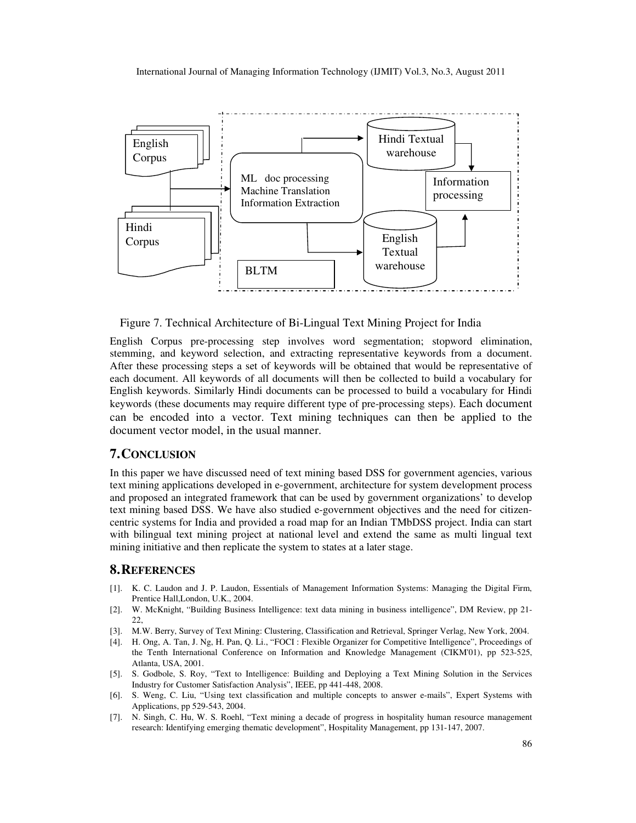

Figure 7. Technical Architecture of Bi-Lingual Text Mining Project for India

English Corpus pre-processing step involves word segmentation; stopword elimination, stemming, and keyword selection, and extracting representative keywords from a document. After these processing steps a set of keywords will be obtained that would be representative of each document. All keywords of all documents will then be collected to build a vocabulary for English keywords. Similarly Hindi documents can be processed to build a vocabulary for Hindi keywords (these documents may require different type of pre-processing steps). Each document can be encoded into a vector. Text mining techniques can then be applied to the document vector model, in the usual manner.

## **7.CONCLUSION**

In this paper we have discussed need of text mining based DSS for government agencies, various text mining applications developed in e-government, architecture for system development process and proposed an integrated framework that can be used by government organizations' to develop text mining based DSS. We have also studied e-government objectives and the need for citizencentric systems for India and provided a road map for an Indian TMbDSS project. India can start with bilingual text mining project at national level and extend the same as multi lingual text mining initiative and then replicate the system to states at a later stage.

#### **8.REFERENCES**

- [1]. K. C. Laudon and J. P. Laudon, Essentials of Management Information Systems: Managing the Digital Firm, Prentice Hall,London, U.K., 2004.
- [2]. W. McKnight, "Building Business Intelligence: text data mining in business intelligence", DM Review, pp 21- 22,
- [3]. M.W. Berry, Survey of Text Mining: Clustering, Classification and Retrieval, Springer Verlag, New York, 2004.
- [4]. H. Ong, A. Tan, J. Ng, H. Pan, Q. Li., "FOCI : Flexible Organizer for Competitive Intelligence", Proceedings of the Tenth International Conference on Information and Knowledge Management (CIKM'01), pp 523-525, Atlanta, USA, 2001.
- [5]. S. Godbole, S. Roy, "Text to Intelligence: Building and Deploying a Text Mining Solution in the Services Industry for Customer Satisfaction Analysis", IEEE, pp 441-448, 2008.
- [6]. S. Weng, C. Liu, "Using text classification and multiple concepts to answer e-mails", Expert Systems with Applications, pp 529-543, 2004.
- [7]. N. Singh, C. Hu, W. S. Roehl, "Text mining a decade of progress in hospitality human resource management research: Identifying emerging thematic development", Hospitality Management, pp 131-147, 2007.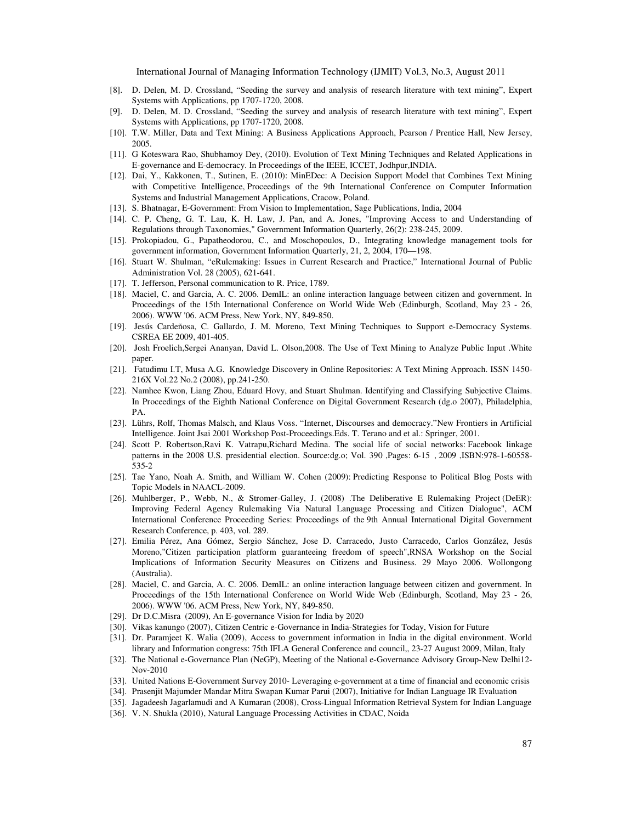- [8]. D. Delen, M. D. Crossland, "Seeding the survey and analysis of research literature with text mining", Expert Systems with Applications, pp 1707-1720, 2008.
- [9]. D. Delen, M. D. Crossland, "Seeding the survey and analysis of research literature with text mining", Expert Systems with Applications, pp 1707-1720, 2008.
- [10]. T.W. Miller, Data and Text Mining: A Business Applications Approach, Pearson / Prentice Hall, New Jersey, 2005.
- [11]. G Koteswara Rao, Shubhamoy Dey, (2010). Evolution of Text Mining Techniques and Related Applications in E-governance and E-democracy. In Proceedings of the IEEE, ICCET, Jodhpur,INDIA.
- [12]. Dai, Y., Kakkonen, T., Sutinen, E. (2010): MinEDec: A Decision Support Model that Combines Text Mining with Competitive Intelligence, Proceedings of the 9th International Conference on Computer Information Systems and Industrial Management Applications, Cracow, Poland.
- [13]. S. Bhatnagar, E-Government: From Vision to Implementation, Sage Publications, India, 2004
- [14]. C. P. Cheng, G. T. Lau, K. H. Law, J. Pan, and A. Jones, "Improving Access to and Understanding of Regulations through Taxonomies," Government Information Quarterly, 26(2): 238-245, 2009.
- [15]. Prokopiadou, G., Papatheodorou, C., and Moschopoulos, D., Integrating knowledge management tools for government information, Government Information Quarterly, 21, 2, 2004, 170—198.
- [16]. Stuart W. Shulman, "eRulemaking: Issues in Current Research and Practice," International Journal of Public Administration Vol. 28 (2005), 621-641.
- [17]. T. Jefferson, Personal communication to R. Price, 1789.
- [18]. Maciel, C. and Garcia, A. C. 2006. DemIL: an online interaction language between citizen and government. In Proceedings of the 15th International Conference on World Wide Web (Edinburgh, Scotland, May 23 - 26, 2006). WWW '06. ACM Press, New York, NY, 849-850.
- [19]. Jesús Cardeñosa, C. Gallardo, J. M. Moreno, Text Mining Techniques to Support e-Democracy Systems. CSREA EE 2009, 401-405.
- [20]. Josh Froelich,Sergei Ananyan, David L. Olson,2008. The Use of Text Mining to Analyze Public Input .White paper.
- [21]. Fatudimu I.T, Musa A.G. Knowledge Discovery in Online Repositories: A Text Mining Approach. ISSN 1450- 216X Vol.22 No.2 (2008), pp.241-250.
- [22]. Namhee Kwon, Liang Zhou, Eduard Hovy, and Stuart Shulman. Identifying and Classifying Subjective Claims. In Proceedings of the Eighth National Conference on Digital Government Research (dg.o 2007), Philadelphia, PA.
- [23]. Lührs, Rolf, Thomas Malsch, and Klaus Voss. "Internet, Discourses and democracy."New Frontiers in Artificial Intelligence. Joint Jsai 2001 Workshop Post-Proceedings.Eds. T. Terano and et al.: Springer, 2001.
- [24]. Scott P. Robertson,Ravi K. Vatrapu,Richard Medina. The social life of social networks: Facebook linkage patterns in the 2008 U.S. presidential election. Source:dg.o; Vol. 390 ,Pages: 6-15 , 2009 ,ISBN:978-1-60558- 535-2
- [25]. Tae Yano, Noah A. Smith, and William W. Cohen (2009): Predicting Response to Political Blog Posts with Topic Models in NAACL-2009.
- [26]. Muhlberger, P., Webb, N., & Stromer-Galley, J. (2008) .The Deliberative E Rulemaking Project (DeER): Improving Federal Agency Rulemaking Via Natural Language Processing and Citizen Dialogue", ACM International Conference Proceeding Series: Proceedings of the 9th Annual International Digital Government Research Conference, p. 403, vol. 289.
- [27]. Emilia Pérez, Ana Gómez, Sergio Sánchez, Jose D. Carracedo, Justo Carracedo, Carlos González, Jesús Moreno,"Citizen participation platform guaranteeing freedom of speech",RNSA Workshop on the Social Implications of Information Security Measures on Citizens and Business. 29 Mayo 2006. Wollongong (Australia).
- [28]. Maciel, C. and Garcia, A. C. 2006. DemIL: an online interaction language between citizen and government. In Proceedings of the 15th International Conference on World Wide Web (Edinburgh, Scotland, May 23 - 26, 2006). WWW '06. ACM Press, New York, NY, 849-850.
- [29]. Dr D.C.Misra (2009), An E-governance Vision for India by 2020
- [30]. Vikas kanungo (2007), Citizen Centric e-Governance in India-Strategies for Today, Vision for Future
- [31]. Dr. Paramjeet K. Walia (2009), Access to government information in India in the digital environment. World library and Information congress: 75th IFLA General Conference and council,, 23-27 August 2009, Milan, Italy
- [32]. The National e-Governance Plan (NeGP), Meeting of the National e-Governance Advisory Group-New Delhi12- Nov-2010
- [33]. United Nations E-Government Survey 2010- Leveraging e-government at a time of financial and economic crisis
- [34]. Prasenjit Majumder Mandar Mitra Swapan Kumar Parui (2007), Initiative for Indian Language IR Evaluation
- [35]. Jagadeesh Jagarlamudi and A Kumaran (2008), Cross-Lingual Information Retrieval System for Indian Language
- [36]. V. N. Shukla (2010), Natural Language Processing Activities in CDAC, Noida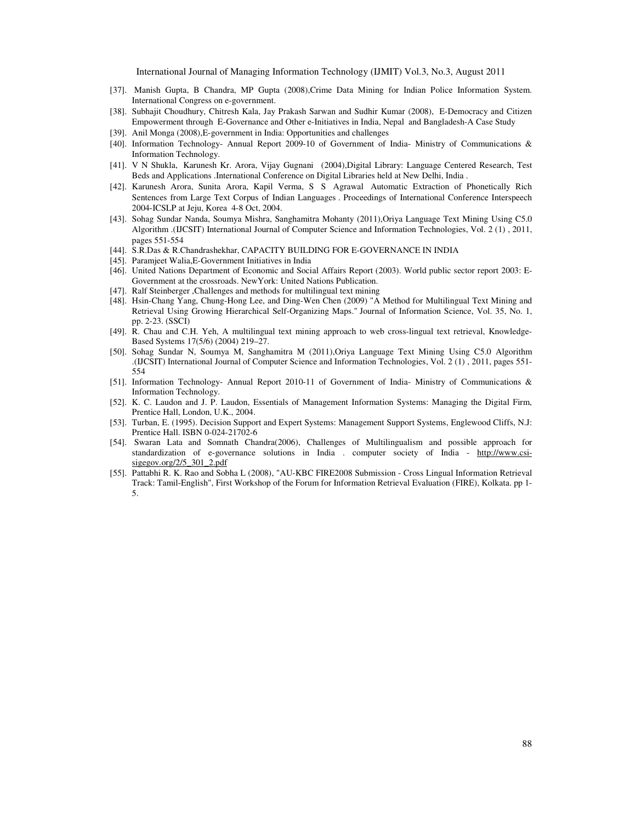- [37]. Manish Gupta, B Chandra, MP Gupta (2008),Crime Data Mining for Indian Police Information System. International Congress on e-government.
- [38]. Subhajit Choudhury, Chitresh Kala, Jay Prakash Sarwan and Sudhir Kumar (2008), E-Democracy and Citizen Empowerment through E-Governance and Other e-Initiatives in India, Nepal and Bangladesh-A Case Study
- [39]. Anil Monga (2008),E-government in India: Opportunities and challenges
- [40]. Information Technology- Annual Report 2009-10 of Government of India- Ministry of Communications & Information Technology.
- [41]. V N Shukla, Karunesh Kr. Arora, Vijay Gugnani (2004),Digital Library: Language Centered Research, Test Beds and Applications .International Conference on Digital Libraries held at New Delhi, India .
- [42]. Karunesh Arora, Sunita Arora, Kapil Verma, S S Agrawal Automatic Extraction of Phonetically Rich Sentences from Large Text Corpus of Indian Languages . Proceedings of International Conference Interspeech 2004-ICSLP at Jeju, Korea 4-8 Oct, 2004.
- [43]. Sohag Sundar Nanda, Soumya Mishra, Sanghamitra Mohanty (2011),Oriya Language Text Mining Using C5.0 Algorithm .(IJCSIT) International Journal of Computer Science and Information Technologies, Vol. 2 (1) , 2011, pages 551-554
- [44]. S.R.Das & R.Chandrashekhar, CAPACITY BUILDING FOR E-GOVERNANCE IN INDIA
- [45]. Paramjeet Walia, E-Government Initiatives in India
- [46]. United Nations Department of Economic and Social Affairs Report (2003). World public sector report 2003: E-Government at the crossroads. NewYork: United Nations Publication.
- [47]. Ralf Steinberger ,Challenges and methods for multilingual text mining
- [48]. Hsin-Chang Yang, Chung-Hong Lee, and Ding-Wen Chen (2009) "A Method for Multilingual Text Mining and Retrieval Using Growing Hierarchical Self-Organizing Maps." Journal of Information Science, Vol. 35, No. 1, pp. 2-23. (SSCI)
- [49]. R. Chau and C.H. Yeh, A multilingual text mining approach to web cross-lingual text retrieval, Knowledge-Based Systems 17(5/6) (2004) 219–27.
- [50]. Sohag Sundar N, Soumya M, Sanghamitra M (2011),Oriya Language Text Mining Using C5.0 Algorithm .(IJCSIT) International Journal of Computer Science and Information Technologies, Vol. 2 (1) , 2011, pages 551- 554
- [51]. Information Technology- Annual Report 2010-11 of Government of India- Ministry of Communications & Information Technology.
- [52]. K. C. Laudon and J. P. Laudon, Essentials of Management Information Systems: Managing the Digital Firm, Prentice Hall, London, U.K., 2004.
- [53]. Turban, E. (1995). Decision Support and Expert Systems: Management Support Systems, Englewood Cliffs, N.J: Prentice Hall. ISBN 0-024-21702-6
- [54]. Swaran Lata and Somnath Chandra(2006), Challenges of Multilingualism and possible approach for standardization of e-governance solutions in India . computer society of India - http://www.csisigegov.org/2/5\_301\_2.pdf
- [55]. Pattabhi R. K. Rao and Sobha L (2008), "AU-KBC FIRE2008 Submission Cross Lingual Information Retrieval Track: Tamil-English", First Workshop of the Forum for Information Retrieval Evaluation (FIRE), Kolkata. pp 1- 5.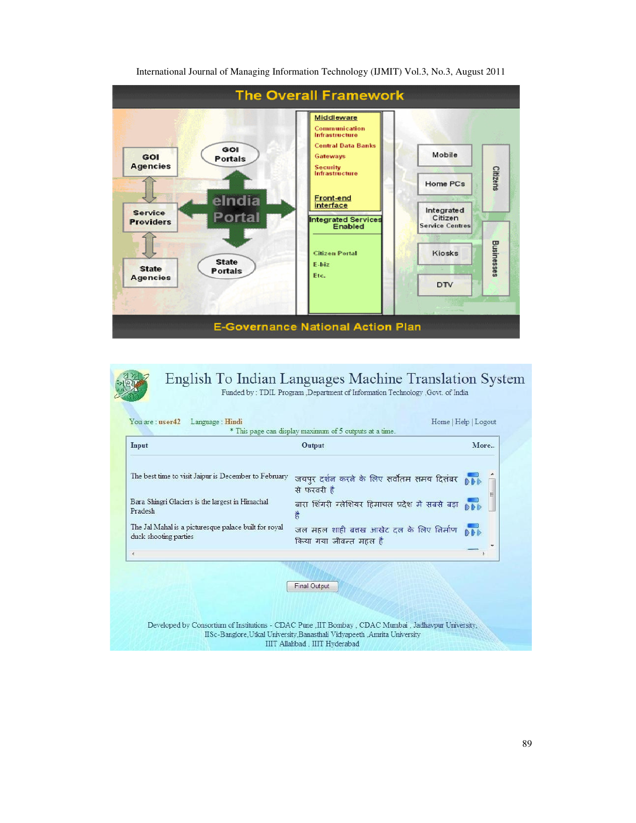

English To Indian Languages Machine Translation System Funded by : TDIL Program , Department of Information Technology , Govt. of India

| Output                                                             | More       |
|--------------------------------------------------------------------|------------|
| जयपूर दर्शन करने के लिए सर्वोतम समय दिसंबर<br>से फरवरी है          | <b>DBD</b> |
| बारा शिंगरी ग्लेशियर हिमाचल प्रदेश में सबसे बड़ा<br>है             | DDD        |
| जल महल शाही बत्तख आखेट दल के लिए निर्माण<br>किया गया जीवन्त महल है | DDD        |
|                                                                    |            |
| <b>Final Output</b>                                                |            |
|                                                                    |            |
|                                                                    |            |
|                                                                    |            |

89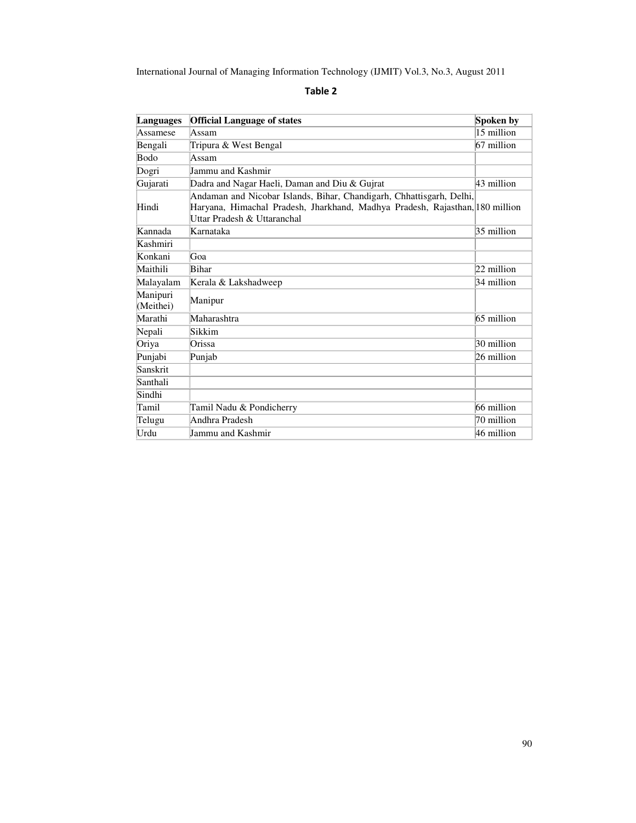#### Table 2

| Languages             | <b>Official Language of states</b>                                                                                                                                                  | Spoken by    |
|-----------------------|-------------------------------------------------------------------------------------------------------------------------------------------------------------------------------------|--------------|
| Assamese              | Assam                                                                                                                                                                               | $15$ million |
| Bengali               | Tripura & West Bengal                                                                                                                                                               | 67 million   |
| <b>Bodo</b>           | Assam                                                                                                                                                                               |              |
| Dogri                 | Jammu and Kashmir                                                                                                                                                                   |              |
| Gujarati              | Dadra and Nagar Haeli, Daman and Diu & Gujrat                                                                                                                                       | 43 million   |
| Hindi                 | Andaman and Nicobar Islands, Bihar, Chandigarh, Chhattisgarh, Delhi,<br>Haryana, Himachal Pradesh, Jharkhand, Madhya Pradesh, Rajasthan, 180 million<br>Uttar Pradesh & Uttaranchal |              |
| Kannada               | Karnataka                                                                                                                                                                           | 35 million   |
| Kashmiri              |                                                                                                                                                                                     |              |
| Konkani               | Goa                                                                                                                                                                                 |              |
| Maithili              | <b>Bihar</b>                                                                                                                                                                        | 22 million   |
| Malayalam             | Kerala & Lakshadweep                                                                                                                                                                | 34 million   |
| Manipuri<br>(Meithei) | Manipur                                                                                                                                                                             |              |
| Marathi               | Maharashtra                                                                                                                                                                         | 65 million   |
| Nepali                | Sikkim                                                                                                                                                                              |              |
| Oriya                 | Orissa                                                                                                                                                                              | 30 million   |
| Punjabi               | Punjab                                                                                                                                                                              | 26 million   |
| Sanskrit              |                                                                                                                                                                                     |              |
| Santhali              |                                                                                                                                                                                     |              |
| Sindhi                |                                                                                                                                                                                     |              |
| Tamil                 | Tamil Nadu & Pondicherry                                                                                                                                                            | 66 million   |
| Telugu                | Andhra Pradesh                                                                                                                                                                      | 70 million   |
| Urdu                  | Jammu and Kashmir                                                                                                                                                                   | 46 million   |